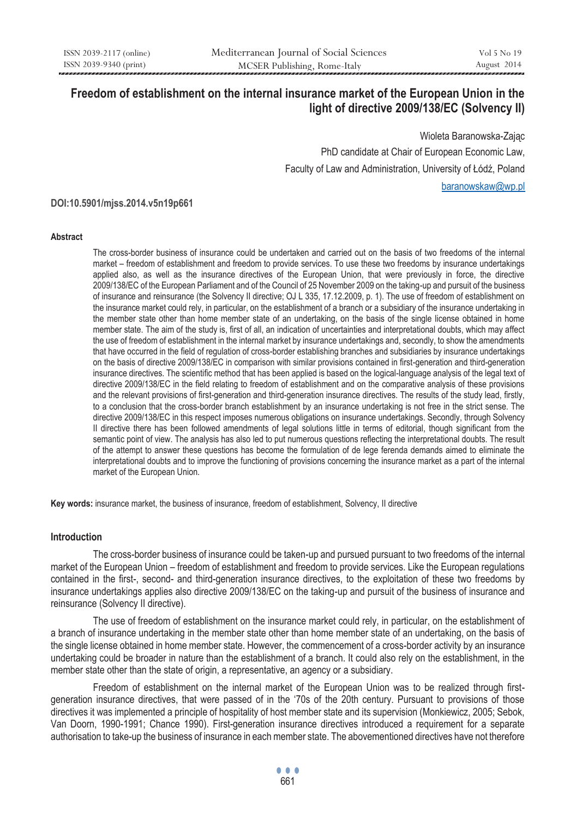# **Freedom of establishment on the internal insurance market of the European Union in the light of directive 2009/138/EC (Solvency II)**

Wioleta Baranowska-Zając PhD candidate at Chair of European Economic Law, Faculty of Law and Administration, University of Łódź, Poland baranowskaw@wp.pl

**DOI:10.5901/mjss.2014.v5n19p661**

#### **Abstract**

The cross-border business of insurance could be undertaken and carried out on the basis of two freedoms of the internal market – freedom of establishment and freedom to provide services. To use these two freedoms by insurance undertakings applied also, as well as the insurance directives of the European Union, that were previously in force, the directive 2009/138/EC of the European Parliament and of the Council of 25 November 2009 on the taking-up and pursuit of the business of insurance and reinsurance (the Solvency II directive; OJ L 335, 17.12.2009, p. 1). The use of freedom of establishment on the insurance market could rely, in particular, on the establishment of a branch or a subsidiary of the insurance undertaking in the member state other than home member state of an undertaking, on the basis of the single license obtained in home member state. The aim of the study is, first of all, an indication of uncertainties and interpretational doubts, which may affect the use of freedom of establishment in the internal market by insurance undertakings and, secondly, to show the amendments that have occurred in the field of regulation of cross-border establishing branches and subsidiaries by insurance undertakings on the basis of directive 2009/138/EC in comparison with similar provisions contained in first-generation and third-generation insurance directives. The scientific method that has been applied is based on the logical-language analysis of the legal text of directive 2009/138/EC in the field relating to freedom of establishment and on the comparative analysis of these provisions and the relevant provisions of first-generation and third-generation insurance directives. The results of the study lead, firstly, to a conclusion that the cross-border branch establishment by an insurance undertaking is not free in the strict sense. The directive 2009/138/EC in this respect imposes numerous obligations on insurance undertakings. Secondly, through Solvency II directive there has been followed amendments of legal solutions little in terms of editorial, though significant from the semantic point of view. The analysis has also led to put numerous questions reflecting the interpretational doubts. The result of the attempt to answer these questions has become the formulation of de lege ferenda demands aimed to eliminate the interpretational doubts and to improve the functioning of provisions concerning the insurance market as a part of the internal market of the European Union.

**Key words:** insurance market, the business of insurance, freedom of establishment, Solvency, II directive

### **Introduction**

The cross-border business of insurance could be taken-up and pursued pursuant to two freedoms of the internal market of the European Union – freedom of establishment and freedom to provide services. Like the European regulations contained in the first-, second- and third-generation insurance directives, to the exploitation of these two freedoms by insurance undertakings applies also directive 2009/138/EC on the taking-up and pursuit of the business of insurance and reinsurance (Solvency II directive).

The use of freedom of establishment on the insurance market could rely, in particular, on the establishment of a branch of insurance undertaking in the member state other than home member state of an undertaking, on the basis of the single license obtained in home member state. However, the commencement of a cross-border activity by an insurance undertaking could be broader in nature than the establishment of a branch. It could also rely on the establishment, in the member state other than the state of origin, a representative, an agency or a subsidiary.

Freedom of establishment on the internal market of the European Union was to be realized through firstgeneration insurance directives, that were passed of in the '70s of the 20th century. Pursuant to provisions of those directives it was implemented a principle of hospitality of host member state and its supervision (Monkiewicz, 2005; Sebok, Van Doorn, 1990-1991; Chance 1990). First-generation insurance directives introduced a requirement for a separate authorisation to take-up the business of insurance in each member state. The abovementioned directives have not therefore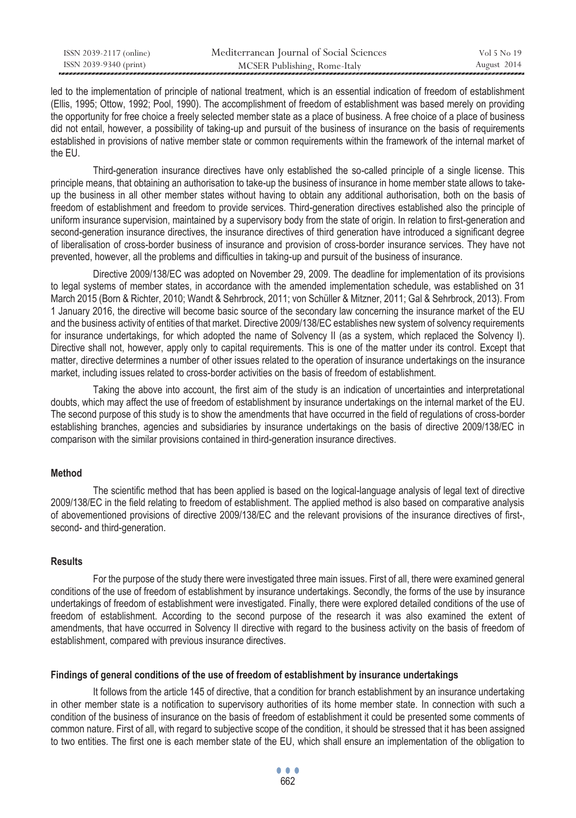| ISSN 2039-2117 (online) | Mediterranean Journal of Social Sciences | Vol 5 No 19 |
|-------------------------|------------------------------------------|-------------|
| ISSN 2039-9340 (print)  | MCSER Publishing, Rome-Italy             | August 2014 |

led to the implementation of principle of national treatment, which is an essential indication of freedom of establishment (Ellis, 1995; Ottow, 1992; Pool, 1990). The accomplishment of freedom of establishment was based merely on providing the opportunity for free choice a freely selected member state as a place of business. A free choice of a place of business did not entail, however, a possibility of taking-up and pursuit of the business of insurance on the basis of requirements established in provisions of native member state or common requirements within the framework of the internal market of the EU.

Third-generation insurance directives have only established the so-called principle of a single license. This principle means, that obtaining an authorisation to take-up the business of insurance in home member state allows to takeup the business in all other member states without having to obtain any additional authorisation, both on the basis of freedom of establishment and freedom to provide services. Third-generation directives established also the principle of uniform insurance supervision, maintained by a supervisory body from the state of origin. In relation to first-generation and second-generation insurance directives, the insurance directives of third generation have introduced a significant degree of liberalisation of cross-border business of insurance and provision of cross-border insurance services. They have not prevented, however, all the problems and difficulties in taking-up and pursuit of the business of insurance.

Directive 2009/138/EC was adopted on November 29, 2009. The deadline for implementation of its provisions to legal systems of member states, in accordance with the amended implementation schedule, was established on 31 March 2015 (Born & Richter, 2010; Wandt & Sehrbrock, 2011; von Schüller & Mitzner, 2011; Gal & Sehrbrock, 2013). From 1 January 2016, the directive will become basic source of the secondary law concerning the insurance market of the EU and the business activity of entities of that market. Directive 2009/138/EC establishes new system of solvency requirements for insurance undertakings, for which adopted the name of Solvency II (as a system, which replaced the Solvency I). Directive shall not, however, apply only to capital requirements. This is one of the matter under its control. Except that matter, directive determines a number of other issues related to the operation of insurance undertakings on the insurance market, including issues related to cross-border activities on the basis of freedom of establishment.

Taking the above into account, the first aim of the study is an indication of uncertainties and interpretational doubts, which may affect the use of freedom of establishment by insurance undertakings on the internal market of the EU. The second purpose of this study is to show the amendments that have occurred in the field of regulations of cross-border establishing branches, agencies and subsidiaries by insurance undertakings on the basis of directive 2009/138/EC in comparison with the similar provisions contained in third-generation insurance directives.

### **Method**

The scientific method that has been applied is based on the logical-language analysis of legal text of directive 2009/138/EC in the field relating to freedom of establishment. The applied method is also based on comparative analysis of abovementioned provisions of directive 2009/138/EC and the relevant provisions of the insurance directives of first-, second- and third-generation.

### **Results**

For the purpose of the study there were investigated three main issues. First of all, there were examined general conditions of the use of freedom of establishment by insurance undertakings. Secondly, the forms of the use by insurance undertakings of freedom of establishment were investigated. Finally, there were explored detailed conditions of the use of freedom of establishment. According to the second purpose of the research it was also examined the extent of amendments, that have occurred in Solvency II directive with regard to the business activity on the basis of freedom of establishment, compared with previous insurance directives.

### **Findings of general conditions of the use of freedom of establishment by insurance undertakings**

It follows from the article 145 of directive, that a condition for branch establishment by an insurance undertaking in other member state is a notification to supervisory authorities of its home member state. In connection with such a condition of the business of insurance on the basis of freedom of establishment it could be presented some comments of common nature. First of all, with regard to subjective scope of the condition, it should be stressed that it has been assigned to two entities. The first one is each member state of the EU, which shall ensure an implementation of the obligation to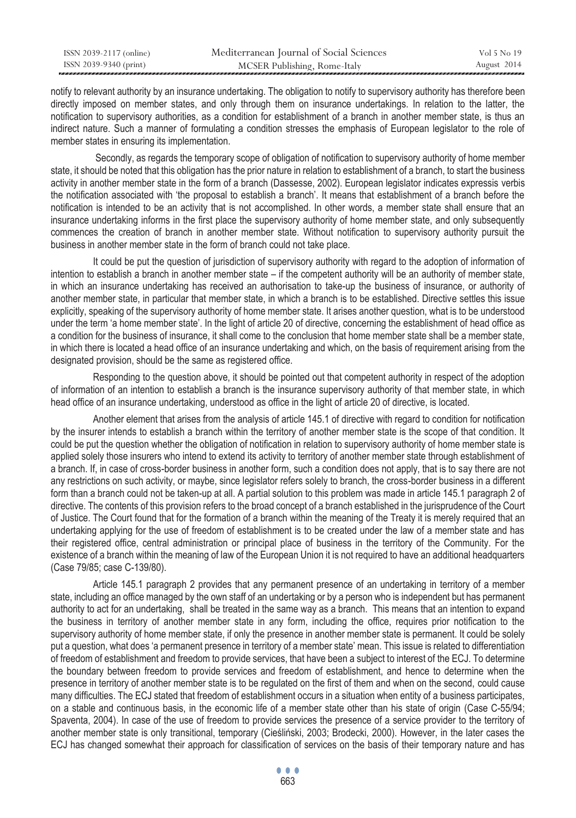| ISSN 2039-2117 (online) | Mediterranean Journal of Social Sciences | Vol 5 No 19 |
|-------------------------|------------------------------------------|-------------|
| ISSN 2039-9340 (print)  | MCSER Publishing, Rome-Italy             | August 2014 |

notify to relevant authority by an insurance undertaking. The obligation to notify to supervisory authority has therefore been directly imposed on member states, and only through them on insurance undertakings. In relation to the latter, the notification to supervisory authorities, as a condition for establishment of a branch in another member state, is thus an indirect nature. Such a manner of formulating a condition stresses the emphasis of European legislator to the role of member states in ensuring its implementation.

 Secondly, as regards the temporary scope of obligation of notification to supervisory authority of home member state, it should be noted that this obligation has the prior nature in relation to establishment of a branch, to start the business activity in another member state in the form of a branch (Dassesse, 2002). European legislator indicates expressis verbis the notification associated with 'the proposal to establish a branch'. It means that establishment of a branch before the notification is intended to be an activity that is not accomplished. In other words, a member state shall ensure that an insurance undertaking informs in the first place the supervisory authority of home member state, and only subsequently commences the creation of branch in another member state. Without notification to supervisory authority pursuit the business in another member state in the form of branch could not take place.

It could be put the question of jurisdiction of supervisory authority with regard to the adoption of information of intention to establish a branch in another member state – if the competent authority will be an authority of member state, in which an insurance undertaking has received an authorisation to take-up the business of insurance, or authority of another member state, in particular that member state, in which a branch is to be established. Directive settles this issue explicitly, speaking of the supervisory authority of home member state. It arises another question, what is to be understood under the term 'a home member state'. In the light of article 20 of directive, concerning the establishment of head office as a condition for the business of insurance, it shall come to the conclusion that home member state shall be a member state, in which there is located a head office of an insurance undertaking and which, on the basis of requirement arising from the designated provision, should be the same as registered office.

Responding to the question above, it should be pointed out that competent authority in respect of the adoption of information of an intention to establish a branch is the insurance supervisory authority of that member state, in which head office of an insurance undertaking, understood as office in the light of article 20 of directive, is located.

Another element that arises from the analysis of article 145.1 of directive with regard to condition for notification by the insurer intends to establish a branch within the territory of another member state is the scope of that condition. It could be put the question whether the obligation of notification in relation to supervisory authority of home member state is applied solely those insurers who intend to extend its activity to territory of another member state through establishment of a branch. If, in case of cross-border business in another form, such a condition does not apply, that is to say there are not any restrictions on such activity, or maybe, since legislator refers solely to branch, the cross-border business in a different form than a branch could not be taken-up at all. A partial solution to this problem was made in article 145.1 paragraph 2 of directive. The contents of this provision refers to the broad concept of a branch established in the jurisprudence of the Court of Justice. The Court found that for the formation of a branch within the meaning of the Treaty it is merely required that an undertaking applying for the use of freedom of establishment is to be created under the law of a member state and has their registered office, central administration or principal place of business in the territory of the Community. For the existence of a branch within the meaning of law of the European Union it is not required to have an additional headquarters (Case 79/85; case C-139/80).

Article 145.1 paragraph 2 provides that any permanent presence of an undertaking in territory of a member state, including an office managed by the own staff of an undertaking or by a person who is independent but has permanent authority to act for an undertaking, shall be treated in the same way as a branch. This means that an intention to expand the business in territory of another member state in any form, including the office, requires prior notification to the supervisory authority of home member state, if only the presence in another member state is permanent. It could be solely put a question, what does 'a permanent presence in territory of a member state' mean. This issue is related to differentiation of freedom of establishment and freedom to provide services, that have been a subject to interest of the ECJ. To determine the boundary between freedom to provide services and freedom of establishment, and hence to determine when the presence in territory of another member state is to be regulated on the first of them and when on the second, could cause many difficulties. The ECJ stated that freedom of establishment occurs in a situation when entity of a business participates, on a stable and continuous basis, in the economic life of a member state other than his state of origin (Case C-55/94; Spaventa, 2004). In case of the use of freedom to provide services the presence of a service provider to the territory of another member state is only transitional, temporary (Cieśliński, 2003; Brodecki, 2000). However, in the later cases the ECJ has changed somewhat their approach for classification of services on the basis of their temporary nature and has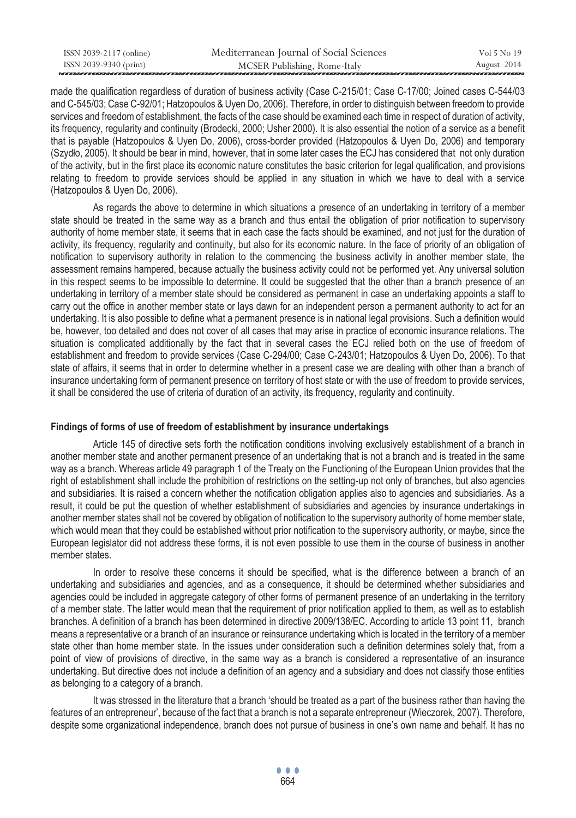| ISSN 2039-2117 (online) | Mediterranean Journal of Social Sciences | Vol 5 No 19 |
|-------------------------|------------------------------------------|-------------|
| ISSN 2039-9340 (print)  | MCSER Publishing, Rome-Italy             | August 2014 |

made the qualification regardless of duration of business activity (Case C-215/01; Case C-17/00; Joined cases C-544/03 and C-545/03; Case C-92/01; Hatzopoulos & Uyen Do, 2006). Therefore, in order to distinguish between freedom to provide services and freedom of establishment, the facts of the case should be examined each time in respect of duration of activity, its frequency, regularity and continuity (Brodecki, 2000; Usher 2000). It is also essential the notion of a service as a benefit that is payable (Hatzopoulos & Uyen Do, 2006), cross-border provided (Hatzopoulos & Uyen Do, 2006) and temporary (Szydło, 2005). It should be bear in mind, however, that in some later cases the ECJ has considered that not only duration of the activity, but in the first place its economic nature constitutes the basic criterion for legal qualification, and provisions relating to freedom to provide services should be applied in any situation in which we have to deal with a service (Hatzopoulos & Uyen Do, 2006).

As regards the above to determine in which situations a presence of an undertaking in territory of a member state should be treated in the same way as a branch and thus entail the obligation of prior notification to supervisory authority of home member state, it seems that in each case the facts should be examined, and not just for the duration of activity, its frequency, regularity and continuity, but also for its economic nature. In the face of priority of an obligation of notification to supervisory authority in relation to the commencing the business activity in another member state, the assessment remains hampered, because actually the business activity could not be performed yet. Any universal solution in this respect seems to be impossible to determine. It could be suggested that the other than a branch presence of an undertaking in territory of a member state should be considered as permanent in case an undertaking appoints a staff to carry out the office in another member state or lays dawn for an independent person a permanent authority to act for an undertaking. It is also possible to define what a permanent presence is in national legal provisions. Such a definition would be, however, too detailed and does not cover of all cases that may arise in practice of economic insurance relations. The situation is complicated additionally by the fact that in several cases the ECJ relied both on the use of freedom of establishment and freedom to provide services (Case C-294/00; Case C-243/01; Hatzopoulos & Uyen Do, 2006). To that state of affairs, it seems that in order to determine whether in a present case we are dealing with other than a branch of insurance undertaking form of permanent presence on territory of host state or with the use of freedom to provide services, it shall be considered the use of criteria of duration of an activity, its frequency, regularity and continuity.

#### **Findings of forms of use of freedom of establishment by insurance undertakings**

Article 145 of directive sets forth the notification conditions involving exclusively establishment of a branch in another member state and another permanent presence of an undertaking that is not a branch and is treated in the same way as a branch. Whereas article 49 paragraph 1 of the Treaty on the Functioning of the European Union provides that the right of establishment shall include the prohibition of restrictions on the setting-up not only of branches, but also agencies and subsidiaries. It is raised a concern whether the notification obligation applies also to agencies and subsidiaries. As a result, it could be put the question of whether establishment of subsidiaries and agencies by insurance undertakings in another member states shall not be covered by obligation of notification to the supervisory authority of home member state, which would mean that they could be established without prior notification to the supervisory authority, or maybe, since the European legislator did not address these forms, it is not even possible to use them in the course of business in another member states.

In order to resolve these concerns it should be specified, what is the difference between a branch of an undertaking and subsidiaries and agencies, and as a consequence, it should be determined whether subsidiaries and agencies could be included in aggregate category of other forms of permanent presence of an undertaking in the territory of a member state. The latter would mean that the requirement of prior notification applied to them, as well as to establish branches. A definition of a branch has been determined in directive 2009/138/EC. According to article 13 point 11, branch means a representative or a branch of an insurance or reinsurance undertaking which is located in the territory of a member state other than home member state. In the issues under consideration such a definition determines solely that, from a point of view of provisions of directive, in the same way as a branch is considered a representative of an insurance undertaking. But directive does not include a definition of an agency and a subsidiary and does not classify those entities as belonging to a category of a branch.

It was stressed in the literature that a branch 'should be treated as a part of the business rather than having the features of an entrepreneur', because of the fact that a branch is not a separate entrepreneur (Wieczorek, 2007). Therefore, despite some organizational independence, branch does not pursue of business in one's own name and behalf. It has no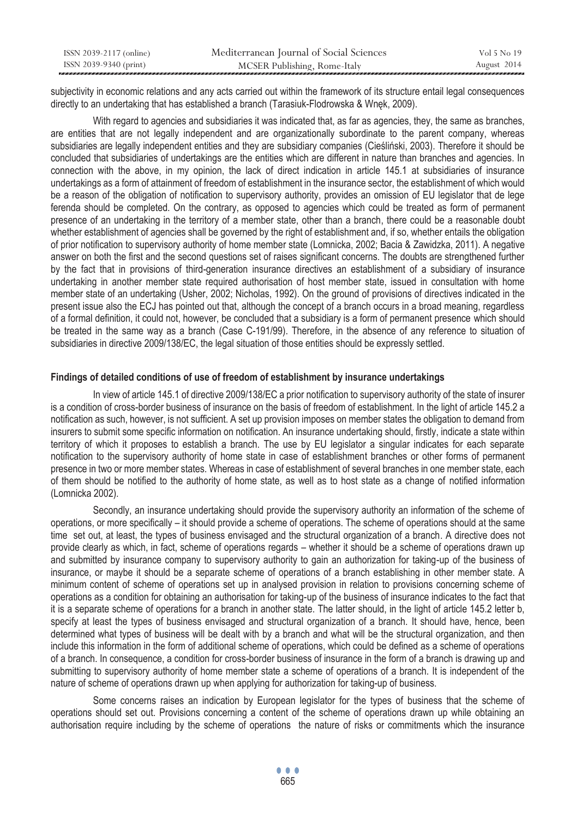| ISSN 2039-2117 (online) | Mediterranean Journal of Social Sciences | Vol 5 No 19 |
|-------------------------|------------------------------------------|-------------|
| ISSN 2039-9340 (print)  | MCSER Publishing, Rome-Italy             | August 2014 |

subjectivity in economic relations and any acts carried out within the framework of its structure entail legal consequences directly to an undertaking that has established a branch (Tarasiuk-Flodrowska & Wnęk, 2009).

With regard to agencies and subsidiaries it was indicated that, as far as agencies, they, the same as branches, are entities that are not legally independent and are organizationally subordinate to the parent company, whereas subsidiaries are legally independent entities and they are subsidiary companies (Cieśliński, 2003). Therefore it should be concluded that subsidiaries of undertakings are the entities which are different in nature than branches and agencies. In connection with the above, in my opinion, the lack of direct indication in article 145.1 at subsidiaries of insurance undertakings as a form of attainment of freedom of establishment in the insurance sector, the establishment of which would be a reason of the obligation of notification to supervisory authority, provides an omission of EU legislator that de lege ferenda should be completed. On the contrary, as opposed to agencies which could be treated as form of permanent presence of an undertaking in the territory of a member state, other than a branch, there could be a reasonable doubt whether establishment of agencies shall be governed by the right of establishment and, if so, whether entails the obligation of prior notification to supervisory authority of home member state (Lomnicka, 2002; Bacia & Zawidzka, 2011). A negative answer on both the first and the second questions set of raises significant concerns. The doubts are strengthened further by the fact that in provisions of third-generation insurance directives an establishment of a subsidiary of insurance undertaking in another member state required authorisation of host member state, issued in consultation with home member state of an undertaking (Usher, 2002; Nicholas, 1992). On the ground of provisions of directives indicated in the present issue also the ECJ has pointed out that, although the concept of a branch occurs in a broad meaning, regardless of a formal definition, it could not, however, be concluded that a subsidiary is a form of permanent presence which should be treated in the same way as a branch (Case C-191/99). Therefore, in the absence of any reference to situation of subsidiaries in directive 2009/138/EC, the legal situation of those entities should be expressly settled.

### **Findings of detailed conditions of use of freedom of establishment by insurance undertakings**

In view of article 145.1 of directive 2009/138/EC a prior notification to supervisory authority of the state of insurer is a condition of cross-border business of insurance on the basis of freedom of establishment. In the light of article 145.2 a notification as such, however, is not sufficient. A set up provision imposes on member states the obligation to demand from insurers to submit some specific information on notification. An insurance undertaking should, firstly, indicate a state within territory of which it proposes to establish a branch. The use by EU legislator a singular indicates for each separate notification to the supervisory authority of home state in case of establishment branches or other forms of permanent presence in two or more member states. Whereas in case of establishment of several branches in one member state, each of them should be notified to the authority of home state, as well as to host state as a change of notified information (Lomnicka 2002).

Secondly, an insurance undertaking should provide the supervisory authority an information of the scheme of operations, or more specifically – it should provide a scheme of operations. The scheme of operations should at the same time set out, at least, the types of business envisaged and the structural organization of a branch. A directive does not provide clearly as which, in fact, scheme of operations regards – whether it should be a scheme of operations drawn up and submitted by insurance company to supervisory authority to gain an authorization for taking-up of the business of insurance, or maybe it should be a separate scheme of operations of a branch establishing in other member state. A minimum content of scheme of operations set up in analysed provision in relation to provisions concerning scheme of operations as a condition for obtaining an authorisation for taking-up of the business of insurance indicates to the fact that it is a separate scheme of operations for a branch in another state. The latter should, in the light of article 145.2 letter b, specify at least the types of business envisaged and structural organization of a branch. It should have, hence, been determined what types of business will be dealt with by a branch and what will be the structural organization, and then include this information in the form of additional scheme of operations, which could be defined as a scheme of operations of a branch. In consequence, a condition for cross-border business of insurance in the form of a branch is drawing up and submitting to supervisory authority of home member state a scheme of operations of a branch. It is independent of the nature of scheme of operations drawn up when applying for authorization for taking-up of business.

Some concerns raises an indication by European legislator for the types of business that the scheme of operations should set out. Provisions concerning a content of the scheme of operations drawn up while obtaining an authorisation require including by the scheme of operations the nature of risks or commitments which the insurance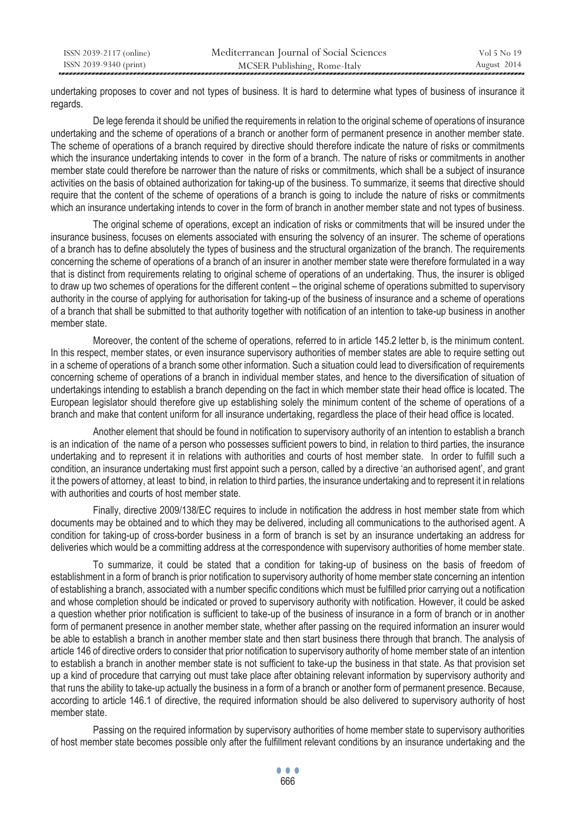| ISSN 2039-2117 (online) | Mediterranean Journal of Social Sciences | Vol 5 No 19 |
|-------------------------|------------------------------------------|-------------|
| ISSN 2039-9340 (print)  | MCSER Publishing, Rome-Italy             | August 2014 |

undertaking proposes to cover and not types of business. It is hard to determine what types of business of insurance it regards.

De lege ferenda it should be unified the requirements in relation to the original scheme of operations of insurance undertaking and the scheme of operations of a branch or another form of permanent presence in another member state. The scheme of operations of a branch required by directive should therefore indicate the nature of risks or commitments which the insurance undertaking intends to cover in the form of a branch. The nature of risks or commitments in another member state could therefore be narrower than the nature of risks or commitments, which shall be a subject of insurance activities on the basis of obtained authorization for taking-up of the business. To summarize, it seems that directive should require that the content of the scheme of operations of a branch is going to include the nature of risks or commitments which an insurance undertaking intends to cover in the form of branch in another member state and not types of business.

The original scheme of operations, except an indication of risks or commitments that will be insured under the insurance business, focuses on elements associated with ensuring the solvency of an insurer. The scheme of operations of a branch has to define absolutely the types of business and the structural organization of the branch. The requirements concerning the scheme of operations of a branch of an insurer in another member state were therefore formulated in a way that is distinct from requirements relating to original scheme of operations of an undertaking. Thus, the insurer is obliged to draw up two schemes of operations for the different content – the original scheme of operations submitted to supervisory authority in the course of applying for authorisation for taking-up of the business of insurance and a scheme of operations of a branch that shall be submitted to that authority together with notification of an intention to take-up business in another member state.

Moreover, the content of the scheme of operations, referred to in article 145.2 letter b, is the minimum content. In this respect, member states, or even insurance supervisory authorities of member states are able to require setting out in a scheme of operations of a branch some other information. Such a situation could lead to diversification of requirements concerning scheme of operations of a branch in individual member states, and hence to the diversification of situation of undertakings intending to establish a branch depending on the fact in which member state their head office is located. The European legislator should therefore give up establishing solely the minimum content of the scheme of operations of a branch and make that content uniform for all insurance undertaking, regardless the place of their head office is located.

Another element that should be found in notification to supervisory authority of an intention to establish a branch is an indication of the name of a person who possesses sufficient powers to bind, in relation to third parties, the insurance undertaking and to represent it in relations with authorities and courts of host member state. In order to fulfill such a condition, an insurance undertaking must first appoint such a person, called by a directive 'an authorised agent', and grant it the powers of attorney, at least to bind, in relation to third parties, the insurance undertaking and to represent it in relations with authorities and courts of host member state.

Finally, directive 2009/138/EC requires to include in notification the address in host member state from which documents may be obtained and to which they may be delivered, including all communications to the authorised agent. A condition for taking-up of cross-border business in a form of branch is set by an insurance undertaking an address for deliveries which would be a committing address at the correspondence with supervisory authorities of home member state.

To summarize, it could be stated that a condition for taking-up of business on the basis of freedom of establishment in a form of branch is prior notification to supervisory authority of home member state concerning an intention of establishing a branch, associated with a number specific conditions which must be fulfilled prior carrying out a notification and whose completion should be indicated or proved to supervisory authority with notification. However, it could be asked a question whether prior notification is sufficient to take-up of the business of insurance in a form of branch or in another form of permanent presence in another member state, whether after passing on the required information an insurer would be able to establish a branch in another member state and then start business there through that branch. The analysis of article 146 of directive orders to consider that prior notification to supervisory authority of home member state of an intention to establish a branch in another member state is not sufficient to take-up the business in that state. As that provision set up a kind of procedure that carrying out must take place after obtaining relevant information by supervisory authority and that runs the ability to take-up actually the business in a form of a branch or another form of permanent presence. Because, according to article 146.1 of directive, the required information should be also delivered to supervisory authority of host member state.

Passing on the required information by supervisory authorities of home member state to supervisory authorities of host member state becomes possible only after the fulfillment relevant conditions by an insurance undertaking and the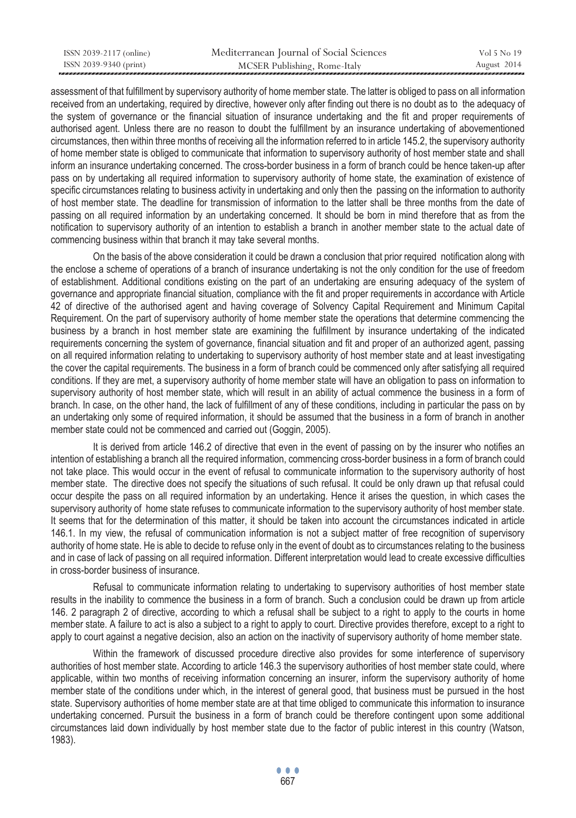| ISSN 2039-2117 (online) | Mediterranean Journal of Social Sciences | Vol 5 No 19 |
|-------------------------|------------------------------------------|-------------|
| ISSN 2039-9340 (print)  | MCSER Publishing, Rome-Italy             | August 2014 |

assessment of that fulfillment by supervisory authority of home member state. The latter is obliged to pass on all information received from an undertaking, required by directive, however only after finding out there is no doubt as to the adequacy of the system of governance or the financial situation of insurance undertaking and the fit and proper requirements of authorised agent. Unless there are no reason to doubt the fulfillment by an insurance undertaking of abovementioned circumstances, then within three months of receiving all the information referred to in article 145.2, the supervisory authority of home member state is obliged to communicate that information to supervisory authority of host member state and shall inform an insurance undertaking concerned. The cross-border business in a form of branch could be hence taken-up after pass on by undertaking all required information to supervisory authority of home state, the examination of existence of specific circumstances relating to business activity in undertaking and only then the passing on the information to authority of host member state. The deadline for transmission of information to the latter shall be three months from the date of passing on all required information by an undertaking concerned. It should be born in mind therefore that as from the notification to supervisory authority of an intention to establish a branch in another member state to the actual date of commencing business within that branch it may take several months.

On the basis of the above consideration it could be drawn a conclusion that prior required notification along with the enclose a scheme of operations of a branch of insurance undertaking is not the only condition for the use of freedom of establishment. Additional conditions existing on the part of an undertaking are ensuring adequacy of the system of governance and appropriate financial situation, compliance with the fit and proper requirements in accordance with Article 42 of directive of the authorised agent and having coverage of Solvency Capital Requirement and Minimum Capital Requirement. On the part of supervisory authority of home member state the operations that determine commencing the business by a branch in host member state are examining the fulfillment by insurance undertaking of the indicated requirements concerning the system of governance, financial situation and fit and proper of an authorized agent, passing on all required information relating to undertaking to supervisory authority of host member state and at least investigating the cover the capital requirements. The business in a form of branch could be commenced only after satisfying all required conditions. If they are met, a supervisory authority of home member state will have an obligation to pass on information to supervisory authority of host member state, which will result in an ability of actual commence the business in a form of branch. In case, on the other hand, the lack of fulfillment of any of these conditions, including in particular the pass on by an undertaking only some of required information, it should be assumed that the business in a form of branch in another member state could not be commenced and carried out (Goggin, 2005).

It is derived from article 146.2 of directive that even in the event of passing on by the insurer who notifies an intention of establishing a branch all the required information, commencing cross-border business in a form of branch could not take place. This would occur in the event of refusal to communicate information to the supervisory authority of host member state. The directive does not specify the situations of such refusal. It could be only drawn up that refusal could occur despite the pass on all required information by an undertaking. Hence it arises the question, in which cases the supervisory authority of home state refuses to communicate information to the supervisory authority of host member state. It seems that for the determination of this matter, it should be taken into account the circumstances indicated in article 146.1. In my view, the refusal of communication information is not a subject matter of free recognition of supervisory authority of home state. He is able to decide to refuse only in the event of doubt as to circumstances relating to the business and in case of lack of passing on all required information. Different interpretation would lead to create excessive difficulties in cross-border business of insurance.

Refusal to communicate information relating to undertaking to supervisory authorities of host member state results in the inability to commence the business in a form of branch. Such a conclusion could be drawn up from article 146. 2 paragraph 2 of directive, according to which a refusal shall be subject to a right to apply to the courts in home member state. A failure to act is also a subject to a right to apply to court. Directive provides therefore, except to a right to apply to court against a negative decision, also an action on the inactivity of supervisory authority of home member state.

Within the framework of discussed procedure directive also provides for some interference of supervisory authorities of host member state. According to article 146.3 the supervisory authorities of host member state could, where applicable, within two months of receiving information concerning an insurer, inform the supervisory authority of home member state of the conditions under which, in the interest of general good, that business must be pursued in the host state. Supervisory authorities of home member state are at that time obliged to communicate this information to insurance undertaking concerned. Pursuit the business in a form of branch could be therefore contingent upon some additional circumstances laid down individually by host member state due to the factor of public interest in this country (Watson, 1983).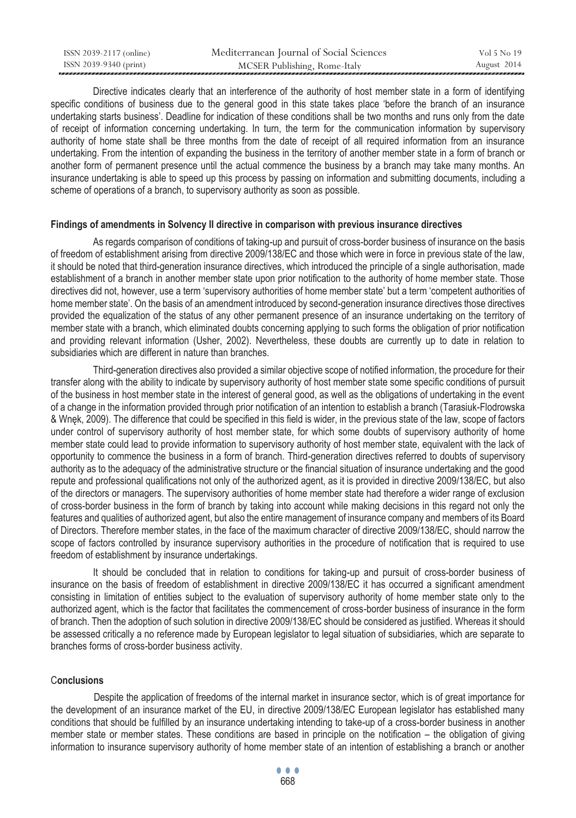| ISSN 2039-2117 (online) | Mediterranean Journal of Social Sciences | Vol 5 No 19 |
|-------------------------|------------------------------------------|-------------|
| ISSN 2039-9340 (print)  | MCSER Publishing, Rome-Italy             | August 2014 |

Directive indicates clearly that an interference of the authority of host member state in a form of identifying specific conditions of business due to the general good in this state takes place 'before the branch of an insurance undertaking starts business'. Deadline for indication of these conditions shall be two months and runs only from the date of receipt of information concerning undertaking. In turn, the term for the communication information by supervisory authority of home state shall be three months from the date of receipt of all required information from an insurance undertaking. From the intention of expanding the business in the territory of another member state in a form of branch or another form of permanent presence until the actual commence the business by a branch may take many months. An insurance undertaking is able to speed up this process by passing on information and submitting documents, including a scheme of operations of a branch, to supervisory authority as soon as possible.

#### **Findings of amendments in Solvency II directive in comparison with previous insurance directives**

As regards comparison of conditions of taking-up and pursuit of cross-border business of insurance on the basis of freedom of establishment arising from directive 2009/138/EC and those which were in force in previous state of the law, it should be noted that third-generation insurance directives, which introduced the principle of a single authorisation, made establishment of a branch in another member state upon prior notification to the authority of home member state. Those directives did not, however, use a term 'supervisory authorities of home member state' but a term 'competent authorities of home member state'. On the basis of an amendment introduced by second-generation insurance directives those directives provided the equalization of the status of any other permanent presence of an insurance undertaking on the territory of member state with a branch, which eliminated doubts concerning applying to such forms the obligation of prior notification and providing relevant information (Usher, 2002). Nevertheless, these doubts are currently up to date in relation to subsidiaries which are different in nature than branches.

Third-generation directives also provided a similar objective scope of notified information, the procedure for their transfer along with the ability to indicate by supervisory authority of host member state some specific conditions of pursuit of the business in host member state in the interest of general good, as well as the obligations of undertaking in the event of a change in the information provided through prior notification of an intention to establish a branch (Tarasiuk-Flodrowska & Wnęk, 2009). The difference that could be specified in this field is wider, in the previous state of the law, scope of factors under control of supervisory authority of host member state, for which some doubts of supervisory authority of home member state could lead to provide information to supervisory authority of host member state, equivalent with the lack of opportunity to commence the business in a form of branch. Third-generation directives referred to doubts of supervisory authority as to the adequacy of the administrative structure or the financial situation of insurance undertaking and the good repute and professional qualifications not only of the authorized agent, as it is provided in directive 2009/138/EC, but also of the directors or managers. The supervisory authorities of home member state had therefore a wider range of exclusion of cross-border business in the form of branch by taking into account while making decisions in this regard not only the features and qualities of authorized agent, but also the entire management of insurance company and members of its Board of Directors. Therefore member states, in the face of the maximum character of directive 2009/138/EC, should narrow the scope of factors controlled by insurance supervisory authorities in the procedure of notification that is required to use freedom of establishment by insurance undertakings.

It should be concluded that in relation to conditions for taking-up and pursuit of cross-border business of insurance on the basis of freedom of establishment in directive 2009/138/EC it has occurred a significant amendment consisting in limitation of entities subject to the evaluation of supervisory authority of home member state only to the authorized agent, which is the factor that facilitates the commencement of cross-border business of insurance in the form of branch. Then the adoption of such solution in directive 2009/138/EC should be considered as justified. Whereas it should be assessed critically a no reference made by European legislator to legal situation of subsidiaries, which are separate to branches forms of cross-border business activity.

### C**onclusions**

 Despite the application of freedoms of the internal market in insurance sector, which is of great importance for the development of an insurance market of the EU, in directive 2009/138/EC European legislator has established many conditions that should be fulfilled by an insurance undertaking intending to take-up of a cross-border business in another member state or member states. These conditions are based in principle on the notification – the obligation of giving information to insurance supervisory authority of home member state of an intention of establishing a branch or another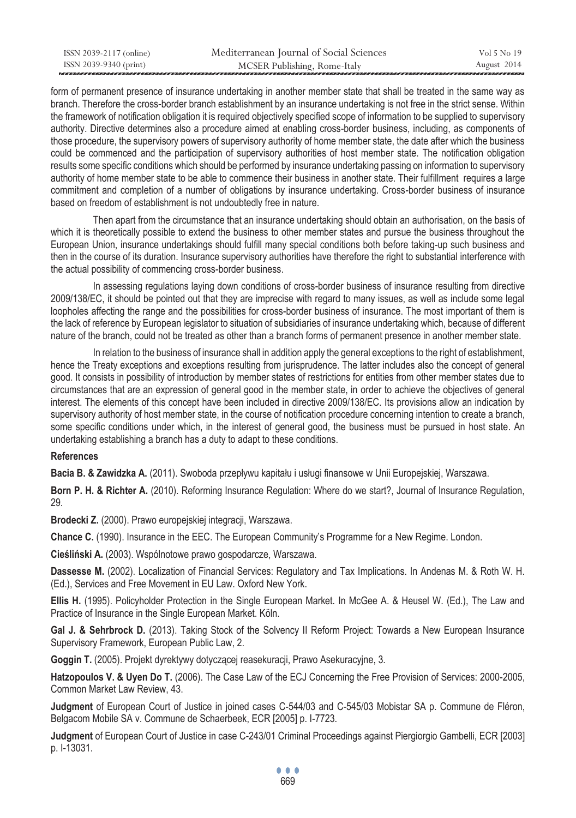| ISSN 2039-2117 (online) | Mediterranean Journal of Social Sciences | Vol 5 No 19 |
|-------------------------|------------------------------------------|-------------|
| ISSN 2039-9340 (print)  | MCSER Publishing, Rome-Italy             | August 2014 |

form of permanent presence of insurance undertaking in another member state that shall be treated in the same way as branch. Therefore the cross-border branch establishment by an insurance undertaking is not free in the strict sense. Within the framework of notification obligation it is required objectively specified scope of information to be supplied to supervisory authority. Directive determines also a procedure aimed at enabling cross-border business, including, as components of those procedure, the supervisory powers of supervisory authority of home member state, the date after which the business could be commenced and the participation of supervisory authorities of host member state. The notification obligation results some specific conditions which should be performed by insurance undertaking passing on information to supervisory authority of home member state to be able to commence their business in another state. Their fulfillment requires a large commitment and completion of a number of obligations by insurance undertaking. Cross-border business of insurance based on freedom of establishment is not undoubtedly free in nature.

Then apart from the circumstance that an insurance undertaking should obtain an authorisation, on the basis of which it is theoretically possible to extend the business to other member states and pursue the business throughout the European Union, insurance undertakings should fulfill many special conditions both before taking-up such business and then in the course of its duration. Insurance supervisory authorities have therefore the right to substantial interference with the actual possibility of commencing cross-border business.

In assessing regulations laying down conditions of cross-border business of insurance resulting from directive 2009/138/EC, it should be pointed out that they are imprecise with regard to many issues, as well as include some legal loopholes affecting the range and the possibilities for cross-border business of insurance. The most important of them is the lack of reference by European legislator to situation of subsidiaries of insurance undertaking which, because of different nature of the branch, could not be treated as other than a branch forms of permanent presence in another member state.

In relation to the business of insurance shall in addition apply the general exceptions to the right of establishment, hence the Treaty exceptions and exceptions resulting from jurisprudence. The latter includes also the concept of general good. It consists in possibility of introduction by member states of restrictions for entities from other member states due to circumstances that are an expression of general good in the member state, in order to achieve the objectives of general interest. The elements of this concept have been included in directive 2009/138/EC. Its provisions allow an indication by supervisory authority of host member state, in the course of notification procedure concerning intention to create a branch, some specific conditions under which, in the interest of general good, the business must be pursued in host state. An undertaking establishing a branch has a duty to adapt to these conditions.

## **References**

**Bacia B. & Zawidzka A.** (2011). Swoboda przepływu kapitału i usługi finansowe w Unii Europejskiej, Warszawa.

**Born P. H. & Richter A.** (2010). Reforming Insurance Regulation: Where do we start?, Journal of Insurance Regulation, 29.

**Brodecki Z.** (2000). Prawo europejskiej integracji, Warszawa.

**Chance C.** (1990). Insurance in the EEC. The European Community's Programme for a New Regime. London.

**Cieśliński A.** (2003). Wspólnotowe prawo gospodarcze, Warszawa.

**Dassesse M.** (2002). Localization of Financial Services: Regulatory and Tax Implications. In Andenas M. & Roth W. H. (Ed.), Services and Free Movement in EU Law. Oxford New York.

**Ellis H.** (1995). Policyholder Protection in the Single European Market. In McGee A. & Heusel W. (Ed.), The Law and Practice of Insurance in the Single European Market. Köln.

Gal J. & Sehrbrock D. (2013). Taking Stock of the Solvency II Reform Project: Towards a New European Insurance Supervisory Framework, European Public Law, 2.

**Goggin T.** (2005). Projekt dyrektywy dotyczącej reasekuracji, Prawo Asekuracyjne, 3.

**Hatzopoulos V. & Uyen Do T.** (2006). The Case Law of the ECJ Concerning the Free Provision of Services: 2000-2005, Common Market Law Review, 43.

**Judgment** of European Court of Justice in joined cases C-544/03 and C-545/03 Mobistar SA p. Commune de Fléron, Belgacom Mobile SA v. Commune de Schaerbeek, ECR [2005] p. I-7723.

**Judgment** of European Court of Justice in case C-243/01 Criminal Proceedings against Piergiorgio Gambelli, ECR [2003] p. I-13031.